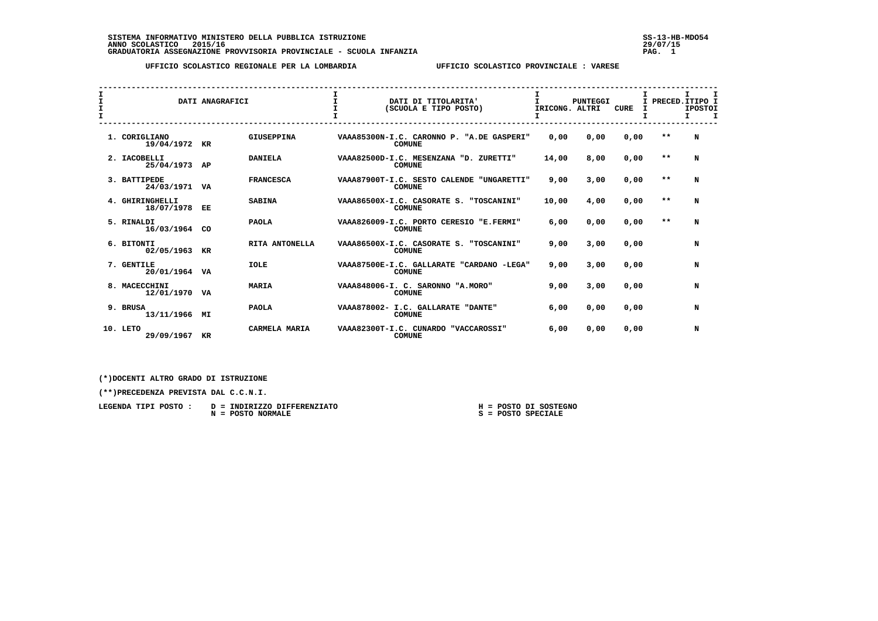SISTEMA INFORMATIVO MINISTERO DELLA PUBBLICA ISTRUZIONE<br>ANNO SCOLASTICO 2015/16<br>GRADUATORIA ASSEGNAZIONE PROVVISORIA PROVINCIALE - SCUOLA INFANZIA PROVINCIA PROVISORIA PROVISORIA PROVISORIA

 **UFFICIO SCOLASTICO REGIONALE PER LA LOMBARDIA UFFICIO SCOLASTICO PROVINCIALE : VARESE**

| I<br>$\mathbf{I}$ | DATI ANAGRAFICI               |    |                   | I<br>DATI DI TITOLARITA'<br>(SCUOLA E TIPO POSTO) | $\mathbf{I}$<br>PUNTEGGI<br>IRICONG. ALTRI                 |       | CURE |      | I.<br>$\mathbf{T}$<br>PRECED.ITIPO I<br><b>IPOSTOI</b><br>$\mathbf I$<br>Τ. |   |
|-------------------|-------------------------------|----|-------------------|---------------------------------------------------|------------------------------------------------------------|-------|------|------|-----------------------------------------------------------------------------|---|
|                   | 1. CORIGLIANO<br>19/04/1972   | KR | <b>GIUSEPPINA</b> |                                                   | VAAA85300N-I.C. CARONNO P. "A.DE GASPERI"<br><b>COMUNE</b> | 0,00  | 0,00 | 0,00 | $* *$                                                                       | N |
|                   | 2. IACOBELLI<br>25/04/1973    | AP | <b>DANIELA</b>    |                                                   | VAAA82500D-I.C. MESENZANA "D. ZURETTI"<br><b>COMUNE</b>    | 14,00 | 8,00 | 0,00 | $* *$                                                                       | N |
|                   | 3. BATTIPEDE<br>24/03/1971 VA |    | <b>FRANCESCA</b>  |                                                   | VAAA87900T-I.C. SESTO CALENDE "UNGARETTI"<br><b>COMUNE</b> | 9,00  | 3,00 | 0,00 | $* *$                                                                       | N |
|                   | 4. GHIRINGHELLI<br>18/07/1978 | EE | <b>SABINA</b>     |                                                   | VAAA86500X-I.C. CASORATE S. "TOSCANINI"<br><b>COMUNE</b>   | 10,00 | 4,00 | 0,00 | $**$                                                                        | N |
|                   | 5. RINALDI<br>16/03/1964 CO   |    | <b>PAOLA</b>      |                                                   | VAAA826009-I.C. PORTO CERESIO "E.FERMI"<br><b>COMUNE</b>   | 6,00  | 0.00 | 0,00 | $* *$                                                                       | N |
|                   | 6. BITONTI<br>02/05/1963      | KR | RITA ANTONELLA    |                                                   | VAAA86500X-I.C. CASORATE S. "TOSCANINI"<br><b>COMUNE</b>   | 9,00  | 3,00 | 0,00 |                                                                             | N |
|                   | 7. GENTILE<br>20/01/1964 VA   |    | <b>IOLE</b>       |                                                   | VAAA87500E-I.C. GALLARATE "CARDANO -LEGA"<br><b>COMUNE</b> | 9,00  | 3,00 | 0.00 |                                                                             | N |
|                   | 8. MACECCHINI<br>12/01/1970   | VA | <b>MARIA</b>      |                                                   | VAAA848006-I. C. SARONNO "A.MORO"<br><b>COMUNE</b>         | 9,00  | 3,00 | 0,00 |                                                                             | N |
|                   | 9. BRUSA<br>13/11/1966 MI     |    | <b>PAOLA</b>      |                                                   | VAAA878002- I.C. GALLARATE "DANTE"<br><b>COMUNE</b>        | 6,00  | 0,00 | 0,00 |                                                                             | N |
|                   | 10. LETO<br>29/09/1967        | KR | CARMELA MARIA     |                                                   | VAAA82300T-I.C. CUNARDO<br>"VACCAROSSI"<br><b>COMUNE</b>   | 6,00  | 0,00 | 0,00 |                                                                             | N |

 **(\*)DOCENTI ALTRO GRADO DI ISTRUZIONE**

 **(\*\*)PRECEDENZA PREVISTA DAL C.C.N.I.**

| LEGENDA TIPI POSTO : D = INDIRIZZO DIFFERENZIATO |  | H = POSTO DI SOSTEGNO |
|--------------------------------------------------|--|-----------------------|
| N = POSTO NORMALE                                |  | S = POSTO SPECIALE    |